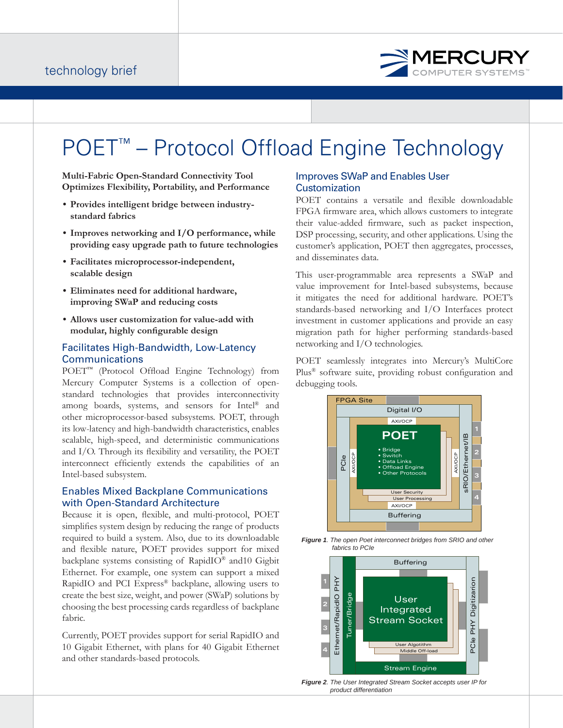

# POET<sup>™</sup> – Protocol Offload Engine Technology

**Multi-Fabric Open-Standard Connectivity Tool Optimizes Flexibility, Portability, and Performance**

- **Provides intelligent bridge between industrystandard fabrics**
- **Improves networking and I/O performance, while providing easy upgrade path to future technologies**
- **Facilitates microprocessor-independent, scalable design**
- **Eliminates need for additional hardware, improving SWaP and reducing costs**
- **Allows user customization for value-add with**  modular, highly configurable design

## Facilitates High-Bandwidth, Low-Latency **Communications**

POET<sup>™</sup> (Protocol Offload Engine Technology) from Mercury Computer Systems is a collection of openstandard technologies that provides interconnectivity among boards, systems, and sensors for Intel® and other microprocessor-based subsystems. POET, through its low-latency and high-bandwidth characteristics, enables scalable, high-speed, and deterministic communications and  $I/O$ . Through its flexibility and versatility, the  $POET$ interconnect efficiently extends the capabilities of an Intel-based subsystem.

## Enables Mixed Backplane Communications with Open-Standard Architecture

Because it is open, flexible, and multi-protocol, POET simplifies system design by reducing the range of products required to build a system. Also, due to its downloadable and flexible nature, POET provides support for mixed backplane systems consisting of RapidIO® and10 Gigbit Ethernet. For example, one system can support a mixed RapidIO and PCI Express® backplane, allowing users to create the best size, weight, and power (SWaP) solutions by choosing the best processing cards regardless of backplane fabric.

Currently, POET provides support for serial RapidIO and 10 Gigabit Ethernet, with plans for 40 Gigabit Ethernet and other standards-based protocols.

## Improves SWaP and Enables User **Customization**

POET contains a versatile and flexible downloadable FPGA firmware area, which allows customers to integrate their value-added firmware, such as packet inspection, DSP processing, security, and other applications. Using the customer's application, POET then aggregates, processes, and disseminates data.

This user-programmable area represents a SWaP and value improvement for Intel-based subsystems, because it mitigates the need for additional hardware. POET's standards-based networking and I/O Interfaces protect investment in customer applications and provide an easy migration path for higher performing standards-based networking and I/O technologies.

POET seamlessly integrates into Mercury's MultiCore Plus<sup>®</sup> software suite, providing robust configuration and debugging tools.







*Figure 2. The User Integrated Stream Socket accepts user IP for product differentiation*